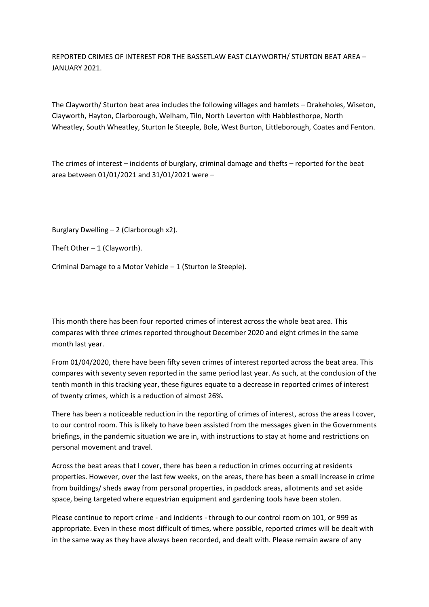REPORTED CRIMES OF INTEREST FOR THE BASSETLAW EAST CLAYWORTH/ STURTON BEAT AREA – JANUARY 2021.

The Clayworth/ Sturton beat area includes the following villages and hamlets – Drakeholes, Wiseton, Clayworth, Hayton, Clarborough, Welham, Tiln, North Leverton with Habblesthorpe, North Wheatley, South Wheatley, Sturton le Steeple, Bole, West Burton, Littleborough, Coates and Fenton.

The crimes of interest – incidents of burglary, criminal damage and thefts – reported for the beat area between 01/01/2021 and 31/01/2021 were –

Burglary Dwelling – 2 (Clarborough x2).

Theft Other  $-1$  (Clayworth).

Criminal Damage to a Motor Vehicle – 1 (Sturton le Steeple).

This month there has been four reported crimes of interest across the whole beat area. This compares with three crimes reported throughout December 2020 and eight crimes in the same month last year.

From 01/04/2020, there have been fifty seven crimes of interest reported across the beat area. This compares with seventy seven reported in the same period last year. As such, at the conclusion of the tenth month in this tracking year, these figures equate to a decrease in reported crimes of interest of twenty crimes, which is a reduction of almost 26%.

There has been a noticeable reduction in the reporting of crimes of interest, across the areas I cover, to our control room. This is likely to have been assisted from the messages given in the Governments briefings, in the pandemic situation we are in, with instructions to stay at home and restrictions on personal movement and travel.

Across the beat areas that I cover, there has been a reduction in crimes occurring at residents properties. However, over the last few weeks, on the areas, there has been a small increase in crime from buildings/ sheds away from personal properties, in paddock areas, allotments and set aside space, being targeted where equestrian equipment and gardening tools have been stolen.

Please continue to report crime - and incidents - through to our control room on 101, or 999 as appropriate. Even in these most difficult of times, where possible, reported crimes will be dealt with in the same way as they have always been recorded, and dealt with. Please remain aware of any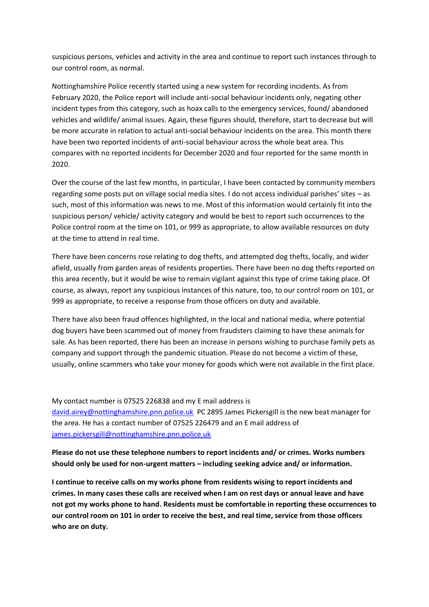suspicious persons, vehicles and activity in the area and continue to report such instances through to our control room, as normal.

Nottinghamshire Police recently started using a new system for recording incidents. As from February 2020, the Police report will include anti-social behaviour incidents only, negating other incident types from this category, such as hoax calls to the emergency services, found/ abandoned vehicles and wildlife/ animal issues. Again, these figures should, therefore, start to decrease but will be more accurate in relation to actual anti-social behaviour incidents on the area. This month there have been two reported incidents of anti-social behaviour across the whole beat area. This compares with no reported incidents for December 2020 and four reported for the same month in 2020.

Over the course of the last few months, in particular, I have been contacted by community members regarding some posts put on village social media sites. I do not access individual parishes' sites – as such, most of this information was news to me. Most of this information would certainly fit into the suspicious person/ vehicle/ activity category and would be best to report such occurrences to the Police control room at the time on 101, or 999 as appropriate, to allow available resources on duty at the time to attend in real time.

There have been concerns rose relating to dog thefts, and attempted dog thefts, locally, and wider afield, usually from garden areas of residents properties. There have been no dog thefts reported on this area recently, but it would be wise to remain vigilant against this type of crime taking place. Of course, as always, report any suspicious instances of this nature, too, to our control room on 101, or 999 as appropriate, to receive a response from those officers on duty and available.

There have also been fraud offences highlighted, in the local and national media, where potential dog buyers have been scammed out of money from fraudsters claiming to have these animals for sale. As has been reported, there has been an increase in persons wishing to purchase family pets as company and support through the pandemic situation. Please do not become a victim of these, usually, online scammers who take your money for goods which were not available in the first place.

My contact number is 07525 226838 and my E mail address is [david.airey@nottinghamshire.pnn.police.uk](mailto:david.airey@nottinghamshire.pnn.police.uk) PC 2895 James Pickersgill is the new beat manager for the area. He has a contact number of 07525 226479 and an E mail address of [james.pickersgill@nottinghamshire.pnn.police.uk](mailto:james.pickersgill@nottinghamshire.pnn.police.uk)

**Please do not use these telephone numbers to report incidents and/ or crimes. Works numbers should only be used for non-urgent matters – including seeking advice and/ or information.**

**I continue to receive calls on my works phone from residents wising to report incidents and crimes. In many cases these calls are received when I am on rest days or annual leave and have not got my works phone to hand. Residents must be comfortable in reporting these occurrences to our control room on 101 in order to receive the best, and real time, service from those officers who are on duty.**